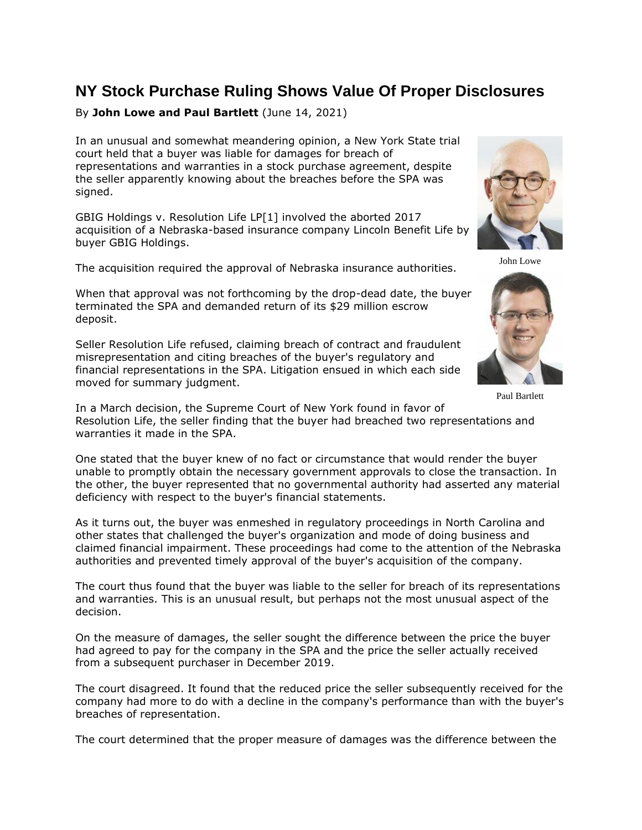## **NY Stock Purchase Ruling Shows Value Of Proper Disclosures**

## By **John Lowe and Paul Bartlett** (June 14, 2021)

In an unusual and somewhat meandering opinion, a New York State trial court held that a buyer was liable for damages for breach of representations and warranties in a stock purchase agreement, despite the seller apparently knowing about the breaches before the SPA was signed.

GBIG Holdings v. Resolution Life LP[1] involved the aborted 2017 acquisition of a Nebraska-based insurance company Lincoln Benefit Life by buyer GBIG Holdings.

The acquisition required the approval of Nebraska insurance authorities.

When that approval was not forthcoming by the drop-dead date, the buyer terminated the SPA and demanded return of its \$29 million escrow deposit.

Seller Resolution Life refused, claiming breach of contract and fraudulent misrepresentation and citing breaches of the buyer's regulatory and financial representations in the SPA. Litigation ensued in which each side moved for summary judgment.



John Lowe



Paul Bartlett

In a March decision, the Supreme Court of New York found in favor of Resolution Life, the seller finding that the buyer had breached two representations and warranties it made in the SPA.

One stated that the buyer knew of no fact or circumstance that would render the buyer unable to promptly obtain the necessary government approvals to close the transaction. In the other, the buyer represented that no governmental authority had asserted any material deficiency with respect to the buyer's financial statements.

As it turns out, the buyer was enmeshed in regulatory proceedings in North Carolina and other states that challenged the buyer's organization and mode of doing business and claimed financial impairment. These proceedings had come to the attention of the Nebraska authorities and prevented timely approval of the buyer's acquisition of the company.

The court thus found that the buyer was liable to the seller for breach of its representations and warranties. This is an unusual result, but perhaps not the most unusual aspect of the decision.

On the measure of damages, the seller sought the difference between the price the buyer had agreed to pay for the company in the SPA and the price the seller actually received from a subsequent purchaser in December 2019.

The court disagreed. It found that the reduced price the seller subsequently received for the company had more to do with a decline in the company's performance than with the buyer's breaches of representation.

The court determined that the proper measure of damages was the difference between the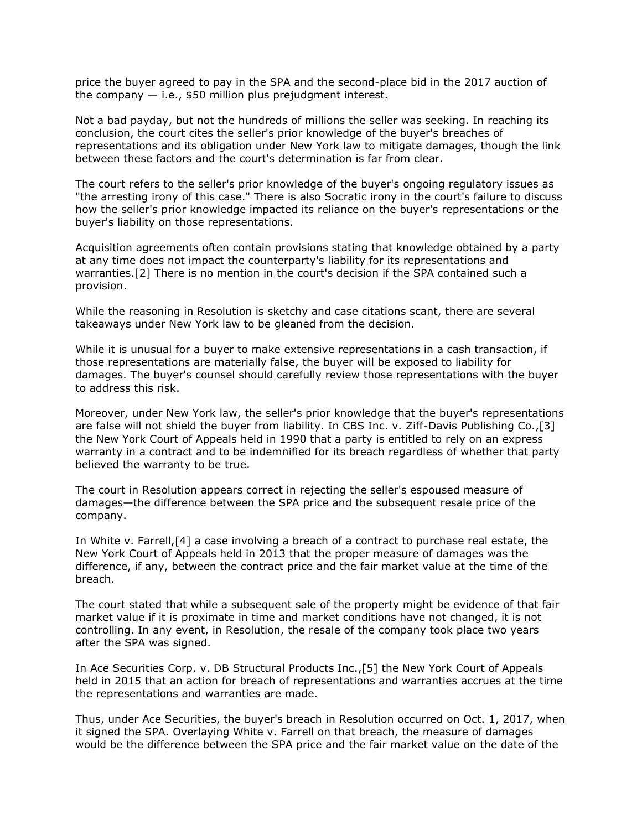price the buyer agreed to pay in the SPA and the second-place bid in the 2017 auction of the company  $-$  i.e., \$50 million plus prejudgment interest.

Not a bad payday, but not the hundreds of millions the seller was seeking. In reaching its conclusion, the court cites the seller's prior knowledge of the buyer's breaches of representations and its obligation under New York law to mitigate damages, though the link between these factors and the court's determination is far from clear.

The court refers to the seller's prior knowledge of the buyer's ongoing regulatory issues as "the arresting irony of this case." There is also Socratic irony in the court's failure to discuss how the seller's prior knowledge impacted its reliance on the buyer's representations or the buyer's liability on those representations.

Acquisition agreements often contain provisions stating that knowledge obtained by a party at any time does not impact the counterparty's liability for its representations and warranties.[2] There is no mention in the court's decision if the SPA contained such a provision.

While the reasoning in Resolution is sketchy and case citations scant, there are several takeaways under New York law to be gleaned from the decision.

While it is unusual for a buyer to make extensive representations in a cash transaction, if those representations are materially false, the buyer will be exposed to liability for damages. The buyer's counsel should carefully review those representations with the buyer to address this risk.

Moreover, under New York law, the seller's prior knowledge that the buyer's representations are false will not shield the buyer from liability. In CBS Inc. v. Ziff-Davis Publishing Co.,[3] the New York Court of Appeals held in 1990 that a party is entitled to rely on an express warranty in a contract and to be indemnified for its breach regardless of whether that party believed the warranty to be true.

The court in Resolution appears correct in rejecting the seller's espoused measure of damages—the difference between the SPA price and the subsequent resale price of the company.

In White v. Farrell,[4] a case involving a breach of a contract to purchase real estate, the New York Court of Appeals held in 2013 that the proper measure of damages was the difference, if any, between the contract price and the fair market value at the time of the breach.

The court stated that while a subsequent sale of the property might be evidence of that fair market value if it is proximate in time and market conditions have not changed, it is not controlling. In any event, in Resolution, the resale of the company took place two years after the SPA was signed.

In Ace Securities Corp. v. DB Structural Products Inc.,[5] the New York Court of Appeals held in 2015 that an action for breach of representations and warranties accrues at the time the representations and warranties are made.

Thus, under Ace Securities, the buyer's breach in Resolution occurred on Oct. 1, 2017, when it signed the SPA. Overlaying White v. Farrell on that breach, the measure of damages would be the difference between the SPA price and the fair market value on the date of the